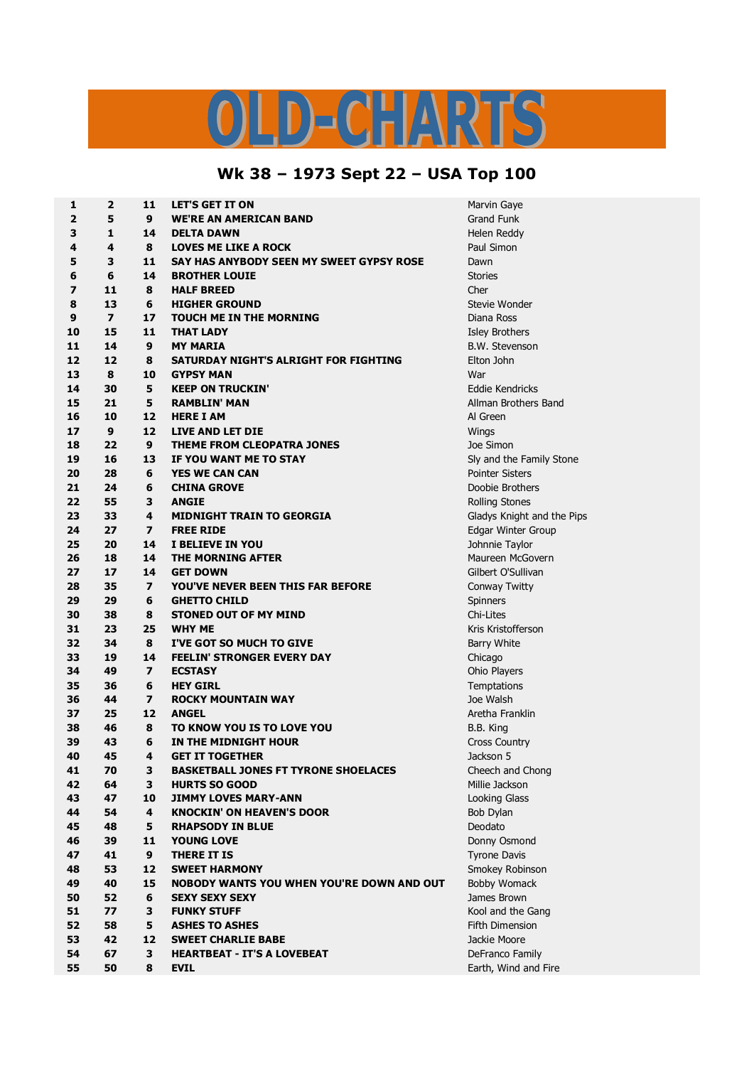## $\begin{array}{c} \square \end{array}$

## **Wk 38 – 1973 Sept 22 – USA Top 100**

| $\mathbf{1}$            | $\overline{2}$ | 11                      | <b>LET'S GET IT ON</b>                           | Marvin Gaye                       |
|-------------------------|----------------|-------------------------|--------------------------------------------------|-----------------------------------|
| $\overline{\mathbf{2}}$ | 5              | 9                       | <b>WE'RE AN AMERICAN BAND</b>                    | <b>Grand Funk</b>                 |
| 3                       | 1              | 14                      | <b>DELTA DAWN</b>                                | Helen Reddy                       |
| 4                       | 4              | 8                       | <b>LOVES ME LIKE A ROCK</b>                      | Paul Simon                        |
| 5                       | 3              | 11                      | SAY HAS ANYBODY SEEN MY SWEET GYPSY ROSE         | Dawn                              |
| 6                       | 6              | 14                      | <b>BROTHER LOUIE</b>                             | <b>Stories</b>                    |
| 7                       | 11             | 8                       | <b>HALF BREED</b>                                | Cher                              |
| 8                       | 13             | 6                       | <b>HIGHER GROUND</b>                             | <b>Stevie Wonde</b>               |
| 9                       | $\overline{z}$ | 17                      | <b>TOUCH ME IN THE MORNING</b>                   | Diana Ross                        |
| 10                      | 15             | 11                      | <b>THAT LADY</b>                                 | <b>Isley Brothers</b>             |
| 11                      | 14             | 9                       | <b>MY MARIA</b>                                  | <b>B.W. Stevenso</b>              |
| 12                      | 12             | 8                       | SATURDAY NIGHT'S ALRIGHT FOR FIGHTING            | Elton John                        |
| 13                      | 8              | 10                      | <b>GYPSY MAN</b>                                 | War                               |
| 14                      | 30             | 5                       | <b>KEEP ON TRUCKIN'</b>                          | Eddie Kendric                     |
| 15                      | 21             | 5                       | <b>RAMBLIN' MAN</b>                              | Allman Brothe                     |
| 16                      | 10             | 12                      | <b>HERE I AM</b>                                 | Al Green                          |
| 17                      | 9              | 12                      | <b>LIVE AND LET DIE</b>                          | Wings                             |
| 18                      | 22             | 9                       | THEME FROM CLEOPATRA JONES                       | Joe Simon                         |
| 19                      | 16             | 13                      | IF YOU WANT ME TO STAY                           | Sly and the Fa                    |
| 20                      | 28             | 6                       | <b>YES WE CAN CAN</b>                            | <b>Pointer Sisters</b>            |
| 21                      | 24             | 6                       | <b>CHINA GROVE</b>                               | Doobie Brothe                     |
| 22                      | 55             | 3                       | <b>ANGIE</b>                                     | <b>Rolling Stones</b>             |
| 23                      | 33             | 4                       | <b>MIDNIGHT TRAIN TO GEORGIA</b>                 | Gladys Knight                     |
| 24                      | 27             | $\overline{ }$          | <b>FREE RIDE</b>                                 | Edgar Winter                      |
| 25                      | 20             | 14                      | I BELIEVE IN YOU                                 | Johnnie Taylo                     |
| 26                      | 18             | 14                      | THE MORNING AFTER                                | Maureen McG                       |
| 27                      | 17             | 14                      | <b>GET DOWN</b>                                  | Gilbert O'Sulli <sup>,</sup>      |
| 28                      | 35             | $\overline{ }$          | <b>YOU'VE NEVER BEEN THIS FAR BEFORE</b>         | Conway Twitt                      |
| 29                      | 29             | 6                       | <b>GHETTO CHILD</b>                              | Spinners                          |
| 30                      | 38             | 8                       | <b>STONED OUT OF MY MIND</b>                     | Chi-Lites                         |
| 31                      | 23             | 25                      | <b>WHY ME</b>                                    | Kris Kristoffer:                  |
| 32                      | 34             | 8                       | I'VE GOT SO MUCH TO GIVE                         | Barry White                       |
| 33                      | 19             | 14                      | <b>FEELIN' STRONGER EVERY DAY</b>                | Chicago                           |
| 34                      | 49             | $\overline{ }$          | <b>ECSTASY</b>                                   | Ohio Players                      |
| 35                      | 36             | 6                       | <b>HEY GIRL</b>                                  | Temptations                       |
| 36                      | 44             | $\overline{\mathbf{z}}$ | <b>ROCKY MOUNTAIN WAY</b>                        | Joe Walsh                         |
| 37                      | 25             | 12                      | <b>ANGEL</b>                                     | Aretha Frankli                    |
| 38                      | 46             | 8                       | TO KNOW YOU IS TO LOVE YOU                       | B.B. King                         |
| 39                      | 43             | 6                       | IN THE MIDNIGHT HOUR                             | <b>Cross Country</b>              |
| 40                      | 45             | 4                       | <b>GET IT TOGETHER</b>                           | Jackson 5                         |
| 41                      | 70             | 3                       | <b>BASKETBALL JONES FT TYRONE SHOELACES</b>      | Cheech and C                      |
| 42                      | 64             | 3                       | <b>HURTS SO GOOD</b>                             | Millie Jackson                    |
| 43                      | 47             | 10                      | <b>JIMMY LOVES MARY-ANN</b>                      | <b>Looking Glass</b>              |
| 44                      | 54             | 4                       | <b>KNOCKIN' ON HEAVEN'S DOOR</b>                 | Bob Dylan                         |
| 45                      | 48             | 5                       | <b>RHAPSODY IN BLUE</b>                          | Deodato                           |
| 46                      | 39             | 11                      | <b>YOUNG LOVE</b>                                | Donny Osmor                       |
| 47                      | 41             | 9                       | <b>THERE IT IS</b>                               |                                   |
| 48                      |                | 12                      | <b>SWEET HARMONY</b>                             | <b>Tyrone Davis</b>               |
| 49                      | 53<br>40       | 15                      | <b>NOBODY WANTS YOU WHEN YOU'RE DOWN AND OUT</b> | Smokey Robir<br><b>Bobby Woma</b> |
|                         |                |                         |                                                  |                                   |
| 50<br>51                | 52<br>77       | 6<br>3                  | <b>SEXY SEXY SEXY</b><br><b>FUNKY STUFF</b>      | James Brown<br>Kool and the       |
|                         |                |                         |                                                  |                                   |
| 52                      | 58             | 5                       | <b>ASHES TO ASHES</b>                            | <b>Fifth Dimensio</b>             |
| 53                      | 42             | 12                      | <b>SWEET CHARLIE BABE</b>                        | Jackie Moore                      |
| 54                      | 67             | 3                       | <b>HEARTBEAT - IT'S A LOVEBEAT</b>               | DeFranco Fan                      |
| 55                      | 50             | 8                       | <b>EVIL</b>                                      | Earth, Wind a                     |

 **Wonder 15 11 THAT LADY** Isley Brothers **14 9 MY MARIA** B.W. Stevenson **30 5 KEEP ON TRUCKIN'** Eddie Kendricks **21 5 RAMBLIN' MAN** Allman Brothers Band and the Family Stone **28 6 YES WE CAN CAN** Pointer Sisters **24 6 CHINA GROVE** Doobie Brothers **Iling Stones 33 4 MIDNIGHT TRAIN TO GEORGIA** Gladys Knight and the Pips **27 7 FREE RIDE** Edgar Winter Group **20 14 I BELIEVE IN YOU** Johnnie Taylor **18 14 THE MORNING AFTER** Maureen McGovern **bert O'Sullivan**  Twitty **23 25 WHY ME** Kris Kristofferson **25 12 ANGEL** Aretha Franklin eech and Chong  $He$  Jackson  $\frac{1}{2}$  Blass **A 11 11 0 0 0 0 0 11 0 11 0 11 0 11 0 11 0 11 0 11 0 11 0 11 0 11 0 11 0 11 0 11 0 11 0 11 0 11 0 11 0 11 0 11 0 11 0 11 0 53 12 SWEET HARMONY** Smokey Robinson **bby Womack 77 3 FUNKY STUFF** Kool and the Gang **58 5 ASHES TO ASHES** Fifth Dimension **Franco Family 50 8 EVIL** Earth, Wind and Fire